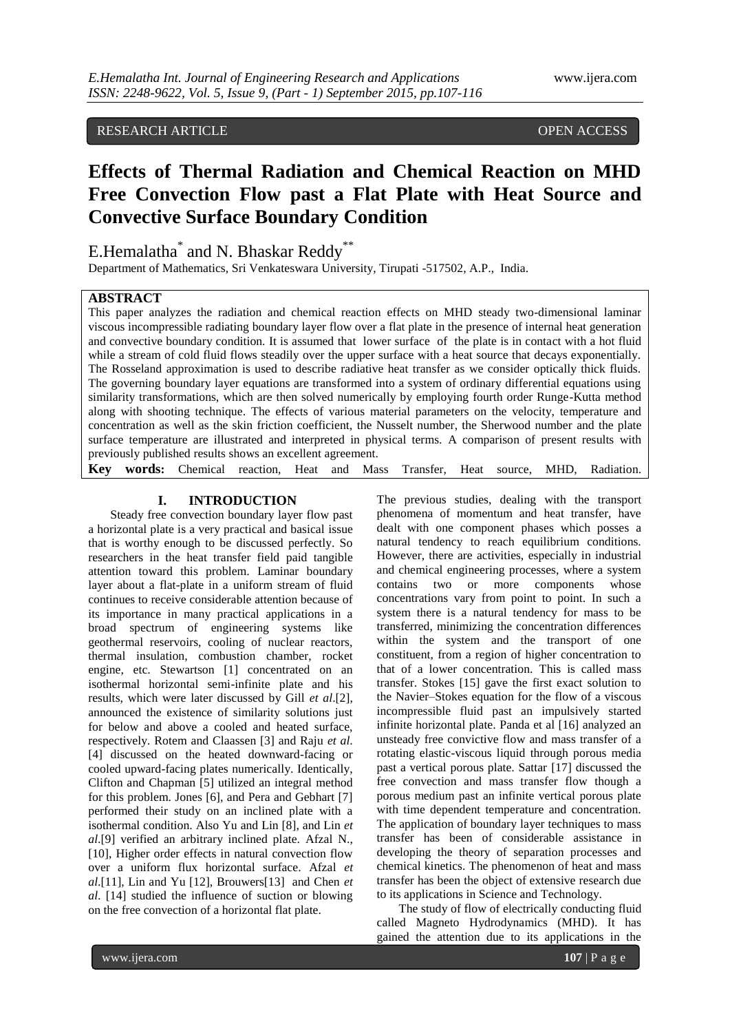# RESEARCH ARTICLE **CONTRACT ARTICLE**

# **Effects of Thermal Radiation and Chemical Reaction on MHD Free Convection Flow past a Flat Plate with Heat Source and Convective Surface Boundary Condition**

# E.Hemalatha<sup>\*</sup> and N. Bhaskar Reddy<sup>\*\*</sup>

Department of Mathematics, Sri Venkateswara University, Tirupati -517502, A.P., India.

#### **ABSTRACT**

This paper analyzes the radiation and chemical reaction effects on MHD steady two-dimensional laminar viscous incompressible radiating boundary layer flow over a flat plate in the presence of internal heat generation and convective boundary condition. It is assumed that lower surface of the plate is in contact with a hot fluid while a stream of cold fluid flows steadily over the upper surface with a heat source that decays exponentially. The Rosseland approximation is used to describe radiative heat transfer as we consider optically thick fluids. The governing boundary layer equations are transformed into a system of ordinary differential equations using similarity transformations, which are then solved numerically by employing fourth order Runge-Kutta method along with shooting technique. The effects of various material parameters on the velocity, temperature and concentration as well as the skin friction coefficient, the Nusselt number, the Sherwood number and the plate surface temperature are illustrated and interpreted in physical terms. A comparison of present results with previously published results shows an excellent agreement.

**Key words:** Chemical reaction, Heat and Mass Transfer, Heat source, MHD, Radiation.

### **I. INTRODUCTION**

Steady free convection boundary layer flow past a horizontal plate is a very practical and basical issue that is worthy enough to be discussed perfectly. So researchers in the heat transfer field paid tangible attention toward this problem. Laminar boundary layer about a flat-plate in a uniform stream of fluid continues to receive considerable attention because of its importance in many practical applications in a broad spectrum of engineering systems like geothermal reservoirs, cooling of nuclear reactors, thermal insulation, combustion chamber, rocket engine, etc. Stewartson [1] concentrated on an isothermal horizontal semi-infinite plate and his results, which were later discussed by Gill *et al*.[2], announced the existence of similarity solutions just for below and above a cooled and heated surface, respectively. Rotem and Claassen [3] and Raju *et al*. [4] discussed on the heated downward-facing or cooled upward-facing plates numerically. Identically, Clifton and Chapman [5] utilized an integral method for this problem. Jones [6], and Pera and Gebhart [7] performed their study on an inclined plate with a isothermal condition. Also Yu and Lin [8], and Lin *et al*.[9] verified an arbitrary inclined plate. Afzal N., [10], Higher order effects in natural convection flow over a uniform flux horizontal surface. Afzal *et al*.[11], Lin and Yu [12], Brouwers[13] and Chen *et al*. [14] studied the influence of suction or blowing on the free convection of a horizontal flat plate.

The previous studies, dealing with the transport phenomena of momentum and heat transfer, have dealt with one component phases which posses a natural tendency to reach equilibrium conditions. However, there are activities, especially in industrial and chemical engineering processes, where a system contains two or more components whose concentrations vary from point to point. In such a system there is a natural tendency for mass to be transferred, minimizing the concentration differences within the system and the transport of one constituent, from a region of higher concentration to that of a lower concentration. This is called mass transfer. Stokes [15] gave the first exact solution to the Navier–Stokes equation for the flow of a viscous incompressible fluid past an impulsively started infinite horizontal plate. Panda et al [16] analyzed an unsteady free convictive flow and mass transfer of a rotating elastic-viscous liquid through porous media past a vertical porous plate. Sattar [17] discussed the free convection and mass transfer flow though a porous medium past an infinite vertical porous plate with time dependent temperature and concentration. The application of boundary layer techniques to mass transfer has been of considerable assistance in developing the theory of separation processes and chemical kinetics. The phenomenon of heat and mass transfer has been the object of extensive research due to its applications in Science and Technology.

The study of flow of electrically conducting fluid called Magneto Hydrodynamics (MHD). It has gained the attention due to its applications in the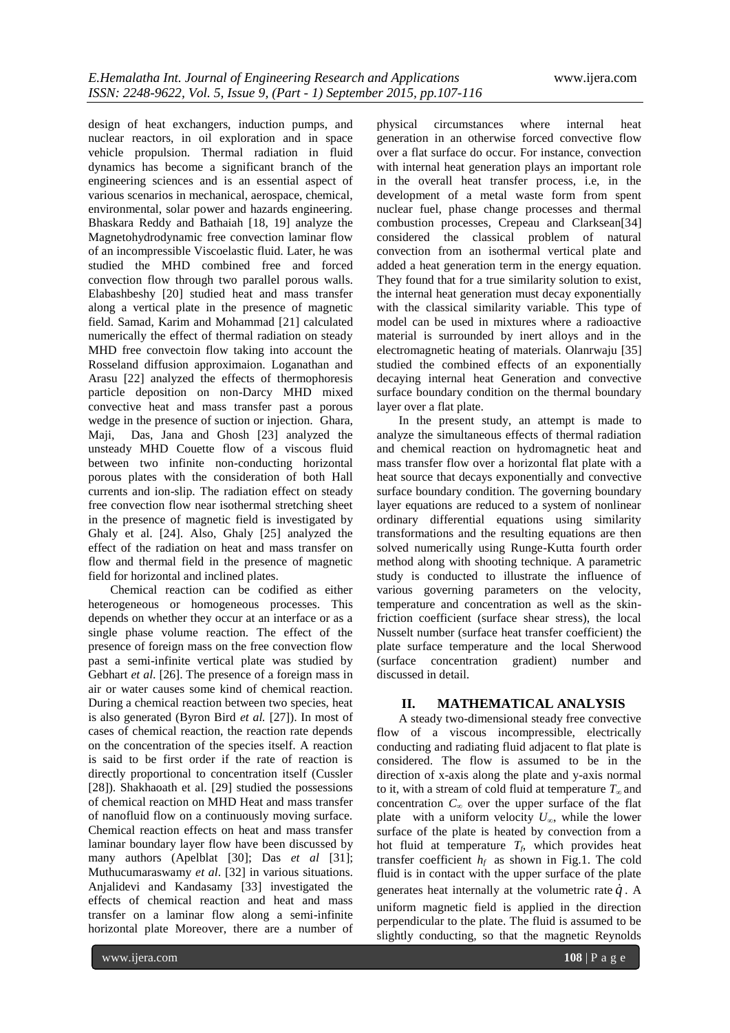design of heat exchangers, induction pumps, and nuclear reactors, in oil exploration and in space vehicle propulsion. Thermal radiation in fluid dynamics has become a significant branch of the engineering sciences and is an essential aspect of various scenarios in mechanical, aerospace, chemical, environmental, solar power and hazards engineering. Bhaskara Reddy and Bathaiah [18, 19] analyze the Magnetohydrodynamic free convection laminar flow of an incompressible Viscoelastic fluid. Later, he was studied the MHD combined free and forced convection flow through two parallel porous walls. Elabashbeshy [20] studied heat and mass transfer along a vertical plate in the presence of magnetic field. Samad, Karim and Mohammad [21] calculated numerically the effect of thermal radiation on steady MHD free convectoin flow taking into account the Rosseland diffusion approximaion. Loganathan and Arasu [22] analyzed the effects of thermophoresis particle deposition on non-Darcy MHD mixed convective heat and mass transfer past a porous wedge in the presence of suction or injection. Ghara, Maji, Das, Jana and Ghosh [23] analyzed the unsteady MHD Couette flow of a viscous fluid between two infinite non-conducting horizontal porous plates with the consideration of both Hall currents and ion-slip. The radiation effect on steady free convection flow near isothermal stretching sheet in the presence of magnetic field is investigated by Ghaly et al. [24]. Also, Ghaly [25] analyzed the effect of the radiation on heat and mass transfer on flow and thermal field in the presence of magnetic field for horizontal and inclined plates.

Chemical reaction can be codified as either heterogeneous or homogeneous processes. This depends on whether they occur at an interface or as a single phase volume reaction. The effect of the presence of foreign mass on the free convection flow past a semi-infinite vertical plate was studied by Gebhart *et al*. [26]. The presence of a foreign mass in air or water causes some kind of chemical reaction. During a chemical reaction between two species, heat is also generated (Byron Bird *et al.* [27]). In most of cases of chemical reaction, the reaction rate depends on the concentration of the species itself. A reaction is said to be first order if the rate of reaction is directly proportional to concentration itself (Cussler [28]). Shakhaoath et al. [29] studied the possessions of chemical reaction on MHD Heat and mass transfer of nanofluid flow on a continuously moving surface. Chemical reaction effects on heat and mass transfer laminar boundary layer flow have been discussed by many authors (Apelblat [30]; Das *et al* [31]; Muthucumaraswamy *et al*. [32] in various situations. Anjalidevi and Kandasamy [33] investigated the effects of chemical reaction and heat and mass transfer on a laminar flow along a semi-infinite horizontal plate Moreover, there are a number of

physical circumstances where internal heat generation in an otherwise forced convective flow over a flat surface do occur. For instance, convection with internal heat generation plays an important role in the overall heat transfer process, i.e, in the development of a metal waste form from spent nuclear fuel, phase change processes and thermal combustion processes, Crepeau and Clarksean[34] considered the classical problem of natural convection from an isothermal vertical plate and added a heat generation term in the energy equation. They found that for a true similarity solution to exist, the internal heat generation must decay exponentially with the classical similarity variable. This type of model can be used in mixtures where a radioactive material is surrounded by inert alloys and in the electromagnetic heating of materials. Olanrwaju [35] studied the combined effects of an exponentially decaying internal heat Generation and convective surface boundary condition on the thermal boundary layer over a flat plate.

In the present study, an attempt is made to analyze the simultaneous effects of thermal radiation and chemical reaction on hydromagnetic heat and mass transfer flow over a horizontal flat plate with a heat source that decays exponentially and convective surface boundary condition. The governing boundary layer equations are reduced to a system of nonlinear ordinary differential equations using similarity transformations and the resulting equations are then solved numerically using Runge-Kutta fourth order method along with shooting technique. A parametric study is conducted to illustrate the influence of various governing parameters on the velocity, temperature and concentration as well as the skinfriction coefficient (surface shear stress), the local Nusselt number (surface heat transfer coefficient) the plate surface temperature and the local Sherwood (surface concentration gradient) number and discussed in detail.

# **II. MATHEMATICAL ANALYSIS**

A steady two-dimensional steady free convective flow of a viscous incompressible, electrically conducting and radiating fluid adjacent to flat plate is considered. The flow is assumed to be in the direction of x-axis along the plate and y-axis normal to it, with a stream of cold fluid at temperature *T<sup>∞</sup>* and concentration *C<sup>∞</sup>* over the upper surface of the flat plate with a uniform velocity  $U_\infty$ , while the lower surface of the plate is heated by convection from a hot fluid at temperature  $T_f$ , which provides heat transfer coefficient  $h_f$  as shown in Fig.1. The cold fluid is in contact with the upper surface of the plate generates heat internally at the volumetric rate  $\dot{q}$ . A uniform magnetic field is applied in the direction perpendicular to the plate. The fluid is assumed to be slightly conducting, so that the magnetic Reynolds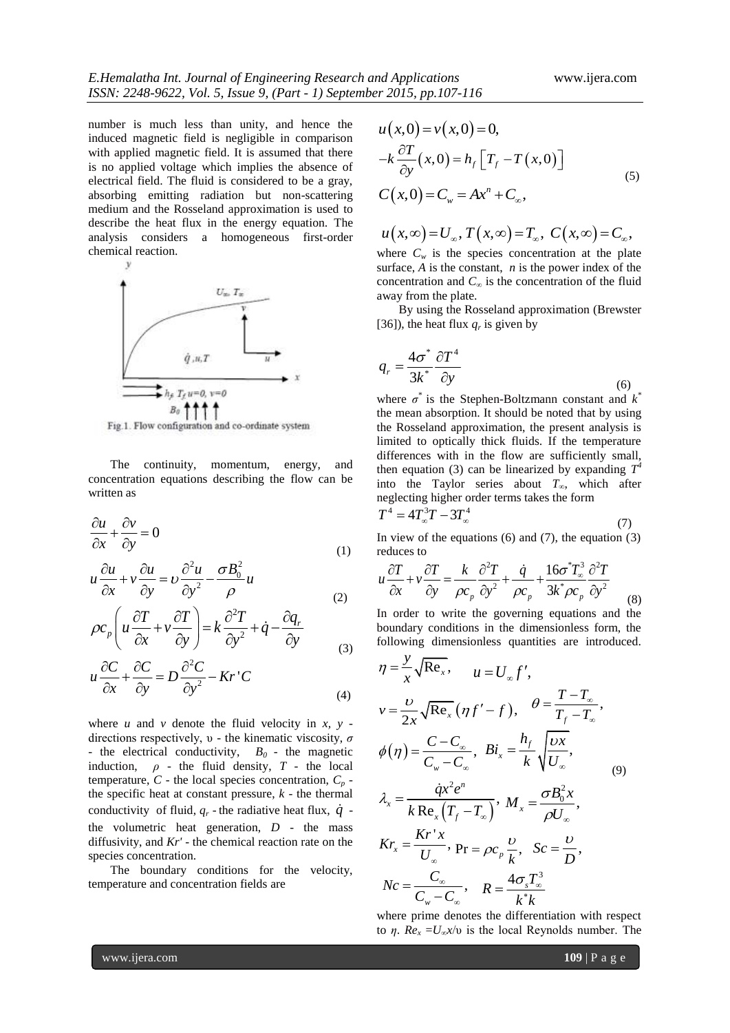number is much less than unity, and hence the induced magnetic field is negligible in comparison with applied magnetic field. It is assumed that there is no applied voltage which implies the absence of electrical field. The fluid is considered to be a gray, absorbing emitting radiation but non-scattering medium and the Rosseland approximation is used to describe the heat flux in the energy equation. The analysis considers a homogeneous first-order chemical reaction.



Fig.1. Flow configuration and co-ordinate system

The continuity, momentum, energy, and concentration equations describing the flow can be written as

$$
\frac{\partial u}{\partial x} + \frac{\partial v}{\partial y} = 0
$$
 (1)

$$
u\frac{\partial u}{\partial x} + v\frac{\partial u}{\partial y} = v\frac{\partial^2 u}{\partial y^2} - \frac{\sigma B_0^2}{\rho}u
$$
\n(1)

$$
\frac{\partial z}{\partial x} + v \frac{\partial z}{\partial y} = k \frac{\partial^2 z}{\partial y^2} + \dot{q} - \frac{\partial q}{\partial y}
$$
\n
$$
\frac{\partial z}{\partial y} = k \frac{\partial^2 z}{\partial y^2} + \dot{q} - \frac{\partial q}{\partial y}
$$
\n
$$
\frac{\partial z}{\partial y} = k \frac{\partial^2 z}{\partial y^2} + \dot{q} - \frac{\partial q}{\partial y}
$$
\n(2)

$$
u\frac{\partial C}{\partial x} + \frac{\partial C}{\partial y} = D\frac{\partial^2 C}{\partial y^2} - Kr^{\dagger} C
$$
\n(3)

where  $u$  and  $v$  denote the fluid velocity in  $x$ ,  $y$  directions respectively, υ - the kinematic viscosity, *σ* - the electrical conductivity,  $B_0$  - the magnetic induction,  $\rho$  - the fluid density,  $T$  - the local temperature,  $C$  - the local species concentration,  $C_p$  the specific heat at constant pressure, *k* - the thermal conductivity of fluid,  $q_r$  - the radiative heat flux,  $\dot{q}$  the volumetric heat generation, *D* - the mass diffusivity, and *Kr'* - the chemical reaction rate on the species concentration.

The boundary conditions for the velocity, temperature and concentration fields are

$$
u(x,0) = v(x,0) = 0,
$$
  
\n
$$
-k\frac{\partial T}{\partial y}(x,0) = h_f[T_f - T(x,0)]
$$
  
\n
$$
C(x,0) = C_w = Ax^n + C_{\infty},
$$
\n(5)

$$
u(x,\infty) = U_{\infty}, T(x,\infty) = T_{\infty}, C(x,\infty) = C_{\infty},
$$

where  $C_w$  is the species concentration at the plate surface, *A* is the constant, *n* is the power index of the concentration and *C<sup>∞</sup>* is the concentration of the fluid away from the plate.

By using the Rosseland approximation (Brewster [36]), the heat flux  $q_r$  is given by

$$
q_r = \frac{4\sigma^*}{3k^*} \frac{\partial T^4}{\partial y}
$$
\n
$$
q_r = \frac{4\sigma^*}{3k^*} \frac{\partial T^4}{\partial y}
$$
\n
$$
(6)
$$

where  $\sigma^*$  is the Stephen-Boltzmann constant and  $k^*$ the mean absorption. It should be noted that by using the Rosseland approximation, the present analysis is limited to optically thick fluids. If the temperature differences with in the flow are sufficiently small, then equation (3) can be linearized by expanding  $T^4$ into the Taylor series about *T∞*, which after neglecting higher order terms takes the form  $T^4 - 4T^3T$  3  $T^4$ 

$$
I = 4I_{\infty}I - 3I_{\infty} \tag{7}
$$

In view of the equations  $(6)$  and  $(7)$ , the equation  $(3)$ reduces to <sup>2</sup>T a  $16\sigma^*T^3 \partial^2$ 

reduces to  
\n
$$
u \frac{\partial T}{\partial x} + v \frac{\partial T}{\partial y} = \frac{k}{\rho c_p} \frac{\partial^2 T}{\partial y^2} + \frac{\dot{q}}{\rho c_p} + \frac{16\sigma^* T_o^3}{3k^* \rho c_p} \frac{\partial^2 T}{\partial y^2}
$$
\n(8)

In order to write the governing equations and the boundary conditions in the dimensionless form, the following dimensionless quantities are introduced.

$$
\eta = \frac{y}{x} \sqrt{\text{Re}_x}, \qquad u = U_{\infty} f',
$$
\n
$$
v = \frac{v}{2x} \sqrt{\text{Re}_x} (\eta f' - f), \qquad \theta = \frac{T - T_{\infty}}{T_f - T_{\infty}},
$$
\n
$$
\phi(\eta) = \frac{C - C_{\infty}}{C_{\infty} - C_{\infty}}, \qquad Bi_x = \frac{h_f}{k} \sqrt{\frac{vx}{U_{\infty}}},
$$
\n
$$
\lambda_x = \frac{\dot{q}x^2 e^n}{k \text{ Re}_x (T_f - T_{\infty})}, \qquad M_x = \frac{\sigma B_0^2 x}{\rho U_{\infty}},
$$
\n
$$
Kr_x = \frac{Kr'x}{U_{\infty}}, \qquad \text{Pr} = \rho c_p \frac{v}{k}, \qquad Sc = \frac{v}{D},
$$
\n
$$
Nc = \frac{C_{\infty}}{C_{\infty} - C_{\infty}}, \qquad R = \frac{4 \sigma_x T_{\infty}^3}{k^* k}
$$

where prime denotes the differentiation with respect to *η*.  $Re<sub>x</sub> = U<sub>ω</sub>x/v$  is the local Reynolds number. The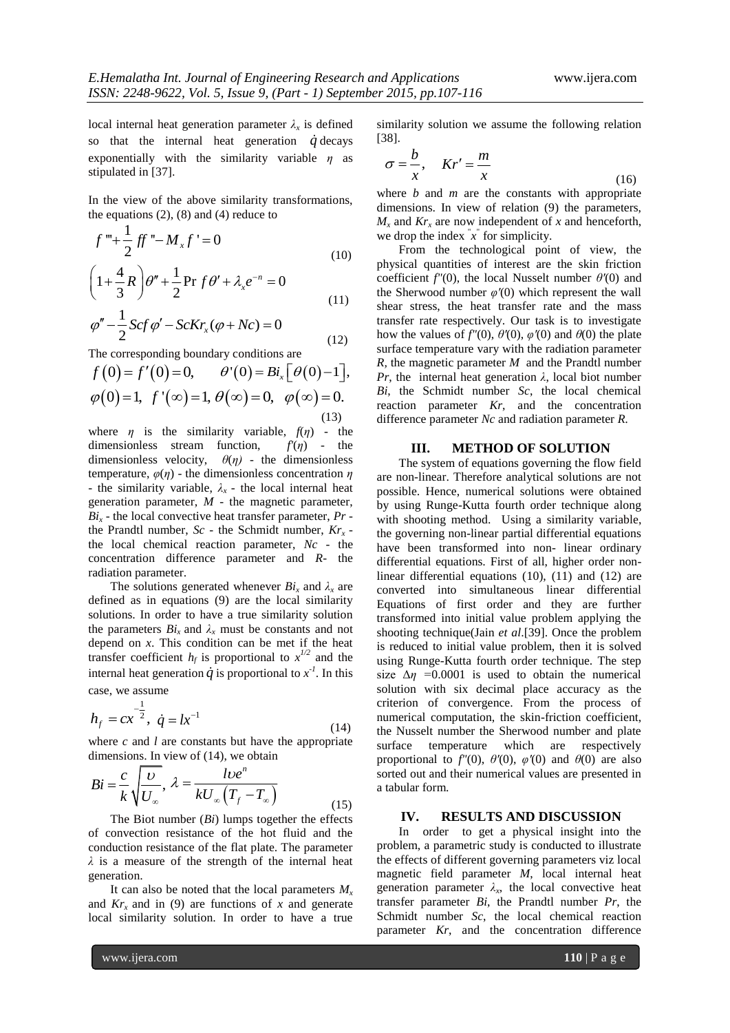local internal heat generation parameter  $\lambda_x$  is defined so that the internal heat generation  $\dot{q}$  decays exponentially with the similarity variable *η* as stipulated in [37].

In the view of the above similarity transformations, the equations  $(2)$ ,  $(8)$  and  $(4)$  reduce to

$$
f''' + \frac{1}{2}ff'' - M_x f' = 0
$$
  
\n
$$
\left(1 + \frac{4}{2}R\right)\theta'' + \frac{1}{2}\Pr f \theta' + \lambda_x e^{-n} = 0
$$
\n(10)

$$
\left(1+\frac{4}{3}R\right)\theta'' + \frac{1}{2}\Pr f\theta' + \lambda_{x}e^{-n} = 0
$$
\n(11)

$$
\varphi'' - \frac{1}{2} Scf \varphi' - ScKr_x(\varphi + Nc) = 0
$$
\n(12)

The corresponding boundary conditions are

$$
f(0) = f'(0) = 0, \quad \theta'(0) = Bi_x [\theta(0) - 1],
$$
  

$$
\varphi(0) = 1, \ f'(\infty) = 1, \ \theta(\infty) = 0, \quad \varphi(\infty) = 0.
$$
 (13)

where  $\eta$  is the similarity variable,  $f(\eta)$  - the dimensionless stream function,  $f'(\eta)$  - the dimensionless stream function, dimensionless velocity,  $\theta(\eta)$  - the dimensionless temperature, *φ*(*η*) - the dimensionless concentration *η* - the similarity variable,  $\lambda_x$  - the local internal heat generation parameter, *M* - the magnetic parameter,  $Bi<sub>x</sub>$  - the local convective heat transfer parameter,  $Pr$  the Prandtl number, *Sc* - the Schmidt number, *Krx*  the local chemical reaction parameter, *Nc* - the concentration difference parameter and *R*- the radiation parameter.

The solutions generated whenever  $Bi_x$  and  $\lambda_x$  are defined as in equations (9) are the local similarity solutions. In order to have a true similarity solution the parameters  $Bi_x$  and  $\lambda_x$  must be constants and not depend on *x*. This condition can be met if the heat transfer coefficient  $h_f$  is proportional to  $x^{1/2}$  and the internal heat generation  $\dot{q}$  is proportional to  $x<sup>-1</sup>$ . In this case, we assume

1

$$
h_f = cx^{-\frac{1}{2}}, \ \dot{q} = lx^{-1} \tag{14}
$$

where *c* and *l* are constants but have the appropriate dimensions. In view of (14), we obtain

$$
Bi = \frac{c}{k} \sqrt{\frac{U}{U_{\infty}}}, \ \lambda = \frac{lve^{n}}{kU_{\infty}(T_f - T_{\infty})}
$$
(15)

The Biot number (*Bi*) lumps together the effects of convection resistance of the hot fluid and the conduction resistance of the flat plate. The parameter *λ* is a measure of the strength of the internal heat generation.

It can also be noted that the local parameters  $M<sub>x</sub>$ and  $Kr<sub>x</sub>$  and in (9) are functions of x and generate local similarity solution. In order to have a true

similarity solution we assume the following relation [38].

$$
\sigma = \frac{b}{x}, \quad Kr' = \frac{m}{x}
$$
 (16)

where *b* and *m* are the constants with appropriate dimensions. In view of relation (9) the parameters,  $M<sub>x</sub>$  and  $Kr<sub>x</sub>$  are now independent of *x* and henceforth, we drop the index  $x^2$  for simplicity.

From the technological point of view, the physical quantities of interest are the skin friction coefficient *f"*(0), the local Nusselt number *θ'*(0) and the Sherwood number *φ'*(0) which represent the wall shear stress, the heat transfer rate and the mass transfer rate respectively. Our task is to investigate how the values of  $f''(0)$ ,  $\theta'(0)$ ,  $\varphi'(0)$  and  $\theta(0)$  the plate surface temperature vary with the radiation parameter *R,* the magnetic parameter *M* and the Prandtl number *Pr*, the internal heat generation  $\lambda$ , local biot number *Bi*, the Schmidt number *Sc*, the local chemical reaction parameter *Kr*, and the concentration difference parameter *Nc* and radiation parameter *R.*

#### **III. METHOD OF SOLUTION**

The system of equations governing the flow field are non-linear. Therefore analytical solutions are not possible. Hence, numerical solutions were obtained by using Runge-Kutta fourth order technique along with shooting method. Using a similarity variable, the governing non-linear partial differential equations have been transformed into non- linear ordinary differential equations. First of all, higher order nonlinear differential equations (10), (11) and (12) are converted into simultaneous linear differential Equations of first order and they are further transformed into initial value problem applying the shooting technique(Jain *et al*.[39]. Once the problem is reduced to initial value problem, then it is solved using Runge-Kutta fourth order technique. The step size  $\Delta \eta$  =0.0001 is used to obtain the numerical solution with six decimal place accuracy as the criterion of convergence. From the process of numerical computation, the skin-friction coefficient, the Nusselt number the Sherwood number and plate surface temperature which are respectively proportional to  $f''(0)$ ,  $\theta'(0)$ ,  $\varphi'(0)$  and  $\theta(0)$  are also sorted out and their numerical values are presented in a tabular form.

### **IV. RESULTS AND DISCUSSION**

In order to get a physical insight into the problem, a parametric study is conducted to illustrate the effects of different governing parameters viz local magnetic field parameter *M*, local internal heat generation parameter  $\lambda_x$ , the local convective heat transfer parameter *Bi*, the Prandtl number *Pr*, the Schmidt number *Sc*, the local chemical reaction parameter *Kr*, and the concentration difference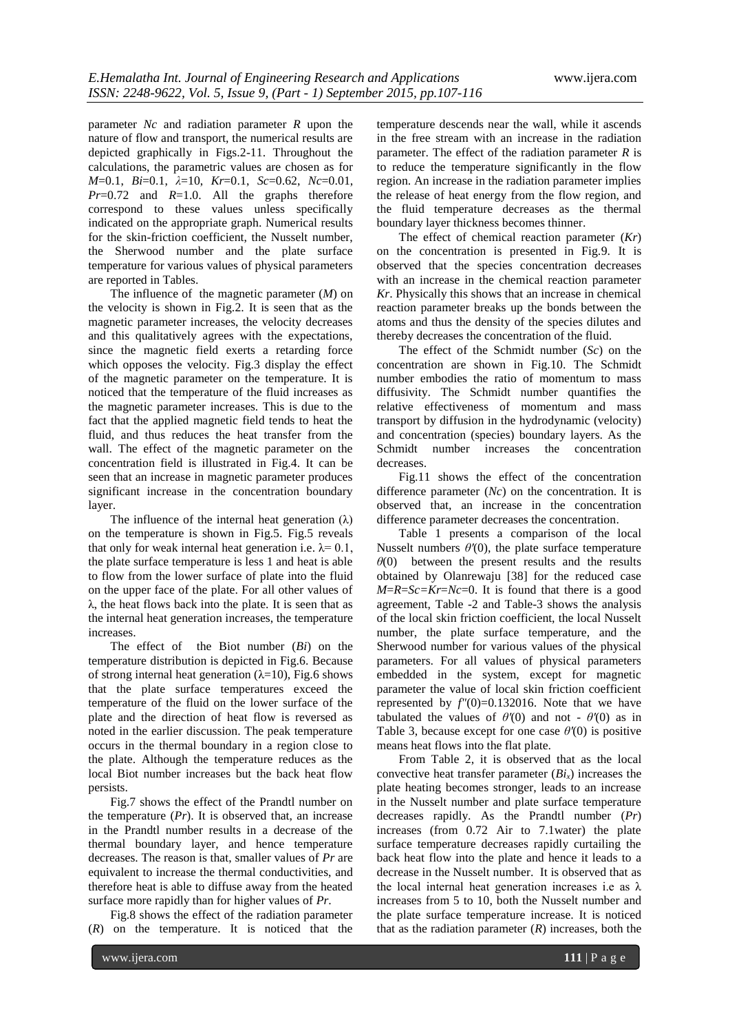parameter *Nc* and radiation parameter *R* upon the nature of flow and transport, the numerical results are depicted graphically in Figs.2-11. Throughout the calculations, the parametric values are chosen as for *M*=0.1, *Bi*=0.1, *λ*=10, *Kr*=0.1, *Sc*=0.62, *Nc*=0.01, *Pr*=0.72 and *R*=1.0. All the graphs therefore correspond to these values unless specifically indicated on the appropriate graph. Numerical results for the skin-friction coefficient, the Nusselt number, the Sherwood number and the plate surface temperature for various values of physical parameters are reported in Tables.

The influence of the magnetic parameter (*M*) on the velocity is shown in Fig.2. It is seen that as the magnetic parameter increases, the velocity decreases and this qualitatively agrees with the expectations, since the magnetic field exerts a retarding force which opposes the velocity. Fig.3 display the effect of the magnetic parameter on the temperature. It is noticed that the temperature of the fluid increases as the magnetic parameter increases. This is due to the fact that the applied magnetic field tends to heat the fluid, and thus reduces the heat transfer from the wall. The effect of the magnetic parameter on the concentration field is illustrated in Fig.4. It can be seen that an increase in magnetic parameter produces significant increase in the concentration boundary layer.

The influence of the internal heat generation  $(\lambda)$ on the temperature is shown in Fig.5. Fig.5 reveals that only for weak internal heat generation i.e.  $\lambda = 0.1$ . the plate surface temperature is less 1 and heat is able to flow from the lower surface of plate into the fluid on the upper face of the plate. For all other values of  $\lambda$ , the heat flows back into the plate. It is seen that as the internal heat generation increases, the temperature increases.

The effect of the Biot number (*Bi*) on the temperature distribution is depicted in Fig.6. Because of strong internal heat generation ( $\lambda$ =10), Fig.6 shows that the plate surface temperatures exceed the temperature of the fluid on the lower surface of the plate and the direction of heat flow is reversed as noted in the earlier discussion. The peak temperature occurs in the thermal boundary in a region close to the plate. Although the temperature reduces as the local Biot number increases but the back heat flow persists.

Fig.7 shows the effect of the Prandtl number on the temperature (*Pr*). It is observed that, an increase in the Prandtl number results in a decrease of the thermal boundary layer, and hence temperature decreases. The reason is that, smaller values of *Pr* are equivalent to increase the thermal conductivities, and therefore heat is able to diffuse away from the heated surface more rapidly than for higher values of *Pr*.

Fig.8 shows the effect of the radiation parameter (*R*) on the temperature. It is noticed that the

temperature descends near the wall, while it ascends in the free stream with an increase in the radiation parameter. The effect of the radiation parameter *R* is to reduce the temperature significantly in the flow region. An increase in the radiation parameter implies the release of heat energy from the flow region, and the fluid temperature decreases as the thermal boundary layer thickness becomes thinner.

The effect of chemical reaction parameter (*Kr*) on the concentration is presented in Fig.9. It is observed that the species concentration decreases with an increase in the chemical reaction parameter *Kr*. Physically this shows that an increase in chemical reaction parameter breaks up the bonds between the atoms and thus the density of the species dilutes and thereby decreases the concentration of the fluid.

The effect of the Schmidt number (*Sc*) on the concentration are shown in Fig.10. The Schmidt number embodies the ratio of momentum to mass diffusivity. The Schmidt number quantifies the relative effectiveness of momentum and mass transport by diffusion in the hydrodynamic (velocity) and concentration (species) boundary layers. As the Schmidt number increases the concentration decreases.

Fig.11 shows the effect of the concentration difference parameter (*Nc*) on the concentration. It is observed that, an increase in the concentration difference parameter decreases the concentration.

Table 1 presents a comparison of the local Nusselt numbers *θ'*(0), the plate surface temperature *θ*(0) between the present results and the results obtained by Olanrewaju [38] for the reduced case  $M=R=Sc=Kr=Nc=0$ . It is found that there is a good agreement, Table -2 and Table-3 shows the analysis of the local skin friction coefficient, the local Nusselt number, the plate surface temperature, and the Sherwood number for various values of the physical parameters. For all values of physical parameters embedded in the system, except for magnetic parameter the value of local skin friction coefficient represented by  $f''(0)=0.132016$ . Note that we have tabulated the values of  $\theta'(0)$  and not -  $\theta'(0)$  as in Table 3, because except for one case *θ'*(0) is positive means heat flows into the flat plate.

From Table 2, it is observed that as the local convective heat transfer parameter (*Bix*) increases the plate heating becomes stronger, leads to an increase in the Nusselt number and plate surface temperature decreases rapidly. As the Prandtl number (*Pr*) increases (from 0.72 Air to 7.1water) the plate surface temperature decreases rapidly curtailing the back heat flow into the plate and hence it leads to a decrease in the Nusselt number. It is observed that as the local internal heat generation increases i.e as  $\lambda$ increases from 5 to 10, both the Nusselt number and the plate surface temperature increase. It is noticed that as the radiation parameter  $(R)$  increases, both the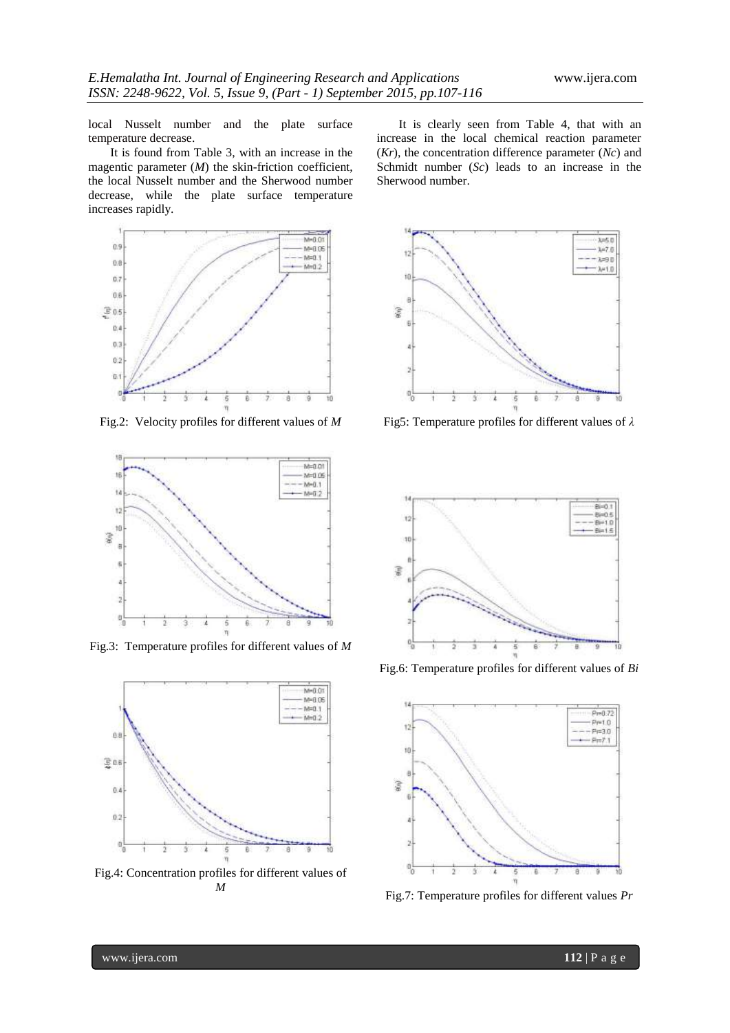local Nusselt number and the plate surface temperature decrease.

It is found from Table 3, with an increase in the magentic parameter (*M*) the skin-friction coefficient, the local Nusselt number and the Sherwood number decrease, while the plate surface temperature increases rapidly.



Fig.2: Velocity profiles for different values of *M*



Fig.3: Temperature profiles for different values of *M*



Fig.4: Concentration profiles for different values of *M*

It is clearly seen from Table 4, that with an increase in the local chemical reaction parameter (*Kr*), the concentration difference parameter (*Nc*) and Schmidt number (*Sc*) leads to an increase in the Sherwood number.



Fig5: Temperature profiles for different values of *λ*



Fig.6: Temperature profiles for different values of *Bi*



Fig.7: Temperature profiles for different values *Pr*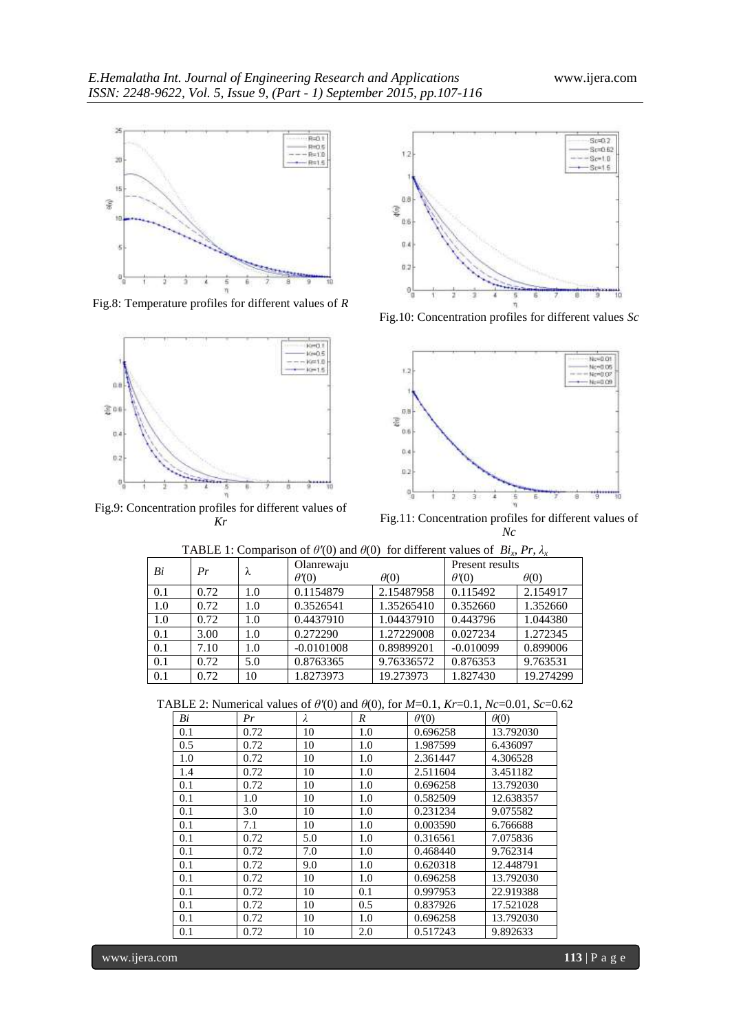

Fig.8: Temperature profiles for different values of *R*



Fig.9: Concentration profiles for different values of *Kr*



Fig.10: Concentration profiles for different values *Sc*



Fig.11: Concentration profiles for different values of *Nc*

| Bi  | Pr   | λ   | Olanrewaju   |             | Present results |             |
|-----|------|-----|--------------|-------------|-----------------|-------------|
|     |      |     | $\theta'(0)$ | $\theta(0)$ | $\theta'(0)$    | $\theta(0)$ |
| 0.1 | 0.72 | 1.0 | 0.1154879    | 2.15487958  | 0.115492        | 2.154917    |
| 1.0 | 0.72 | 1.0 | 0.3526541    | 1.35265410  | 0.352660        | 1.352660    |
| 1.0 | 0.72 | 1.0 | 0.4437910    | 1.04437910  | 0.443796        | 1.044380    |
| 0.1 | 3.00 | 1.0 | 0.272290     | 1.27229008  | 0.027234        | 1.272345    |
| 0.1 | 7.10 | 1.0 | $-0.0101008$ | 0.89899201  | $-0.010099$     | 0.899006    |
| 0.1 | 0.72 | 5.0 | 0.8763365    | 9.76336572  | 0.876353        | 9.763531    |
| 0.1 | 0.72 | 10  | 1.8273973    | 19.273973   | 1.827430        | 19.274299   |

TABLE 1: Comparison of  $\theta'(0)$  and  $\theta(0)$  for different values of *Bi<sub>x</sub>*, *Pr*,  $\lambda$ <sub>*x*</sub>

TABLE 2: Numerical values of *θ'*(0) and *θ*(0), for *M*=0.1, *Kr*=0.1*, Nc*=0.01, *Sc*=0.62

|     |      |           | $\frac{1}{2}$ . There is $\frac{1}{2}$ and $\frac{1}{2}$ (b), i.e. i.e. $\frac{1}{2}$ |              | $5.1.1.0$ $0.01.04$ |
|-----|------|-----------|---------------------------------------------------------------------------------------|--------------|---------------------|
| Bi  | Pr   | $\lambda$ | R                                                                                     | $\theta'(0)$ | $\theta(0)$         |
| 0.1 | 0.72 | 10        | 1.0                                                                                   | 0.696258     | 13.792030           |
| 0.5 | 0.72 | 10        | 1.0                                                                                   | 1.987599     | 6.436097            |
| 1.0 | 0.72 | 10        | 1.0                                                                                   | 2.361447     | 4.306528            |
| 1.4 | 0.72 | 10        | 1.0                                                                                   | 2.511604     | 3.451182            |
| 0.1 | 0.72 | 10        | 1.0                                                                                   | 0.696258     | 13.792030           |
| 0.1 | 1.0  | 10        | 1.0                                                                                   | 0.582509     | 12.638357           |
| 0.1 | 3.0  | 10        | 1.0                                                                                   | 0.231234     | 9.075582            |
| 0.1 | 7.1  | 10        | 1.0                                                                                   | 0.003590     | 6.766688            |
| 0.1 | 0.72 | 5.0       | 1.0                                                                                   | 0.316561     | 7.075836            |
| 0.1 | 0.72 | 7.0       | 1.0                                                                                   | 0.468440     | 9.762314            |
| 0.1 | 0.72 | 9.0       | 1.0                                                                                   | 0.620318     | 12.448791           |
| 0.1 | 0.72 | 10        | 1.0                                                                                   | 0.696258     | 13.792030           |
| 0.1 | 0.72 | 10        | 0.1                                                                                   | 0.997953     | 22.919388           |
| 0.1 | 0.72 | 10        | 0.5                                                                                   | 0.837926     | 17.521028           |
| 0.1 | 0.72 | 10        | 1.0                                                                                   | 0.696258     | 13.792030           |
| 0.1 | 0.72 | 10        | 2.0                                                                                   | 0.517243     | 9.892633            |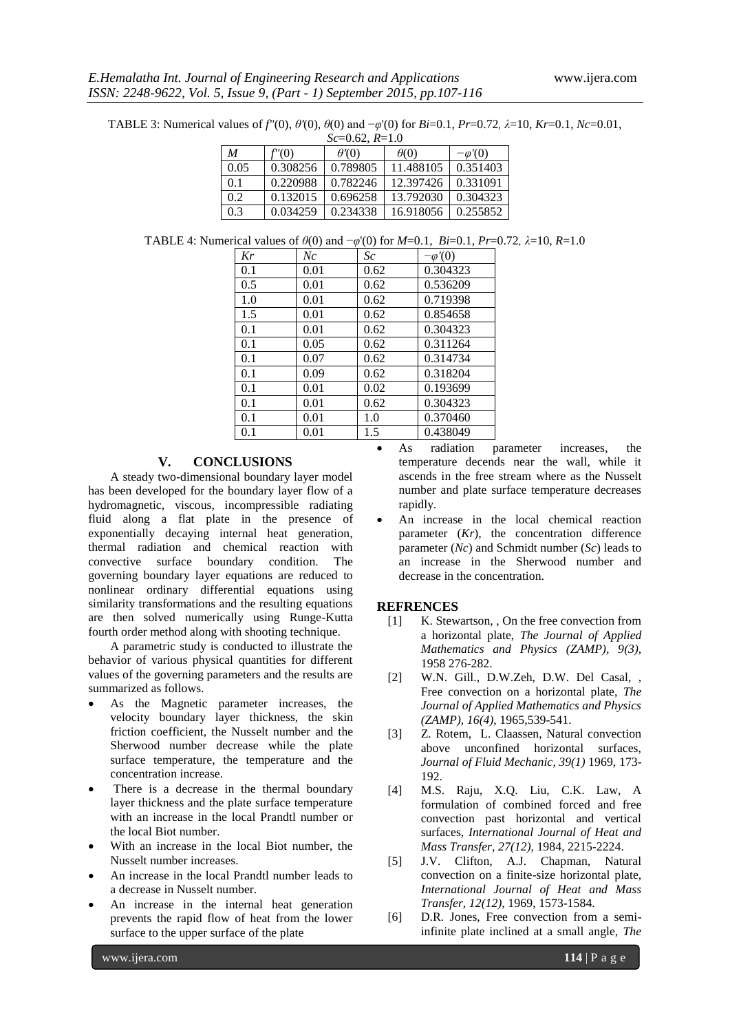TABLE 3: Numerical values of *f"*(0), *θ'*(0), *θ*(0) and −*φ*'(0) for *Bi*=0.1*, Pr*=0.72*, λ*=10*, Kr*=0.1*, Nc*=0.01,

| $Sc=0.62, R=1.0$ |          |             |             |                |  |
|------------------|----------|-------------|-------------|----------------|--|
| $\boldsymbol{M}$ | f'(0)    | $\theta(0)$ | $\theta(0)$ | $-\varphi'(0)$ |  |
| 0.05             | 0.308256 | 0.789805    | 11.488105   | 0.351403       |  |
| 0.1              | 0.220988 | 0.782246    | 12.397426   | 0.331091       |  |
| 0.2              | 0.132015 | 0.696258    | 13.792030   | 0.304323       |  |
| 0.3              | 0.034259 | 0.234338    | 16.918056   | 0.255852       |  |

TABLE 4: Numerical values of *θ*(0) and −*φ*'(0) for *M*=0.1, *Bi*=0.1*, Pr*=0.72*, λ*=10, *R*=1.0

| Kr  | Nc   | Sc   | $-\varphi'(0)$ |
|-----|------|------|----------------|
| 0.1 | 0.01 | 0.62 | 0.304323       |
| 0.5 | 0.01 | 0.62 | 0.536209       |
| 1.0 | 0.01 | 0.62 | 0.719398       |
| 1.5 | 0.01 | 0.62 | 0.854658       |
| 0.1 | 0.01 | 0.62 | 0.304323       |
| 0.1 | 0.05 | 0.62 | 0.311264       |
| 0.1 | 0.07 | 0.62 | 0.314734       |
| 0.1 | 0.09 | 0.62 | 0.318204       |
| 0.1 | 0.01 | 0.02 | 0.193699       |
| 0.1 | 0.01 | 0.62 | 0.304323       |
| 0.1 | 0.01 | 1.0  | 0.370460       |
| 0.1 | 0.01 | 15   | 0.438049       |

## **V. CONCLUSIONS**

A steady two-dimensional boundary layer model has been developed for the boundary layer flow of a hydromagnetic, viscous, incompressible radiating fluid along a flat plate in the presence of exponentially decaying internal heat generation, thermal radiation and chemical reaction with convective surface boundary condition. The governing boundary layer equations are reduced to nonlinear ordinary differential equations using similarity transformations and the resulting equations are then solved numerically using Runge-Kutta fourth order method along with shooting technique.

A parametric study is conducted to illustrate the behavior of various physical quantities for different values of the governing parameters and the results are summarized as follows.

- As the Magnetic parameter increases, the velocity boundary layer thickness, the skin friction coefficient, the Nusselt number and the Sherwood number decrease while the plate surface temperature, the temperature and the concentration increase.
- There is a decrease in the thermal boundary layer thickness and the plate surface temperature with an increase in the local Prandtl number or the local Biot number.
- With an increase in the local Biot number, the Nusselt number increases.
- An increase in the local Prandtl number leads to a decrease in Nusselt number.
- An increase in the internal heat generation prevents the rapid flow of heat from the lower surface to the upper surface of the plate

 As radiation parameter increases, the temperature decends near the wall, while it ascends in the free stream where as the Nusselt number and plate surface temperature decreases rapidly.

 An increase in the local chemical reaction parameter (*Kr*), the concentration difference parameter (*Nc*) and Schmidt number (*Sc*) leads to an increase in the Sherwood number and decrease in the concentration.

### **REFRENCES**

- [1] K. Stewartson, , On the free convection from a horizontal plate, *The Journal of Applied Mathematics and Physics (ZAMP), 9(3),* 1958 276-282.
- [2] W.N. Gill., D.W.Zeh, D.W. Del Casal, , Free convection on a horizontal plate, *The Journal of Applied Mathematics and Physics (ZAMP), 16(4),* 1965,539-541.
- [3] Z. Rotem, L. Claassen, Natural convection above unconfined horizontal surfaces, *Journal of Fluid Mechanic, 39(1)* 1969, 173- 192.
- [4] M.S. Raju, X.Q. Liu, C.K. Law, A formulation of combined forced and free convection past horizontal and vertical surfaces*, International Journal of Heat and Mass Transfer, 27(12),* 1984, 2215-2224.
- [5] J.V. Clifton, A.J. Chapman, Natural convection on a finite-size horizontal plate, *International Journal of Heat and Mass Transfer, 12(12),* 1969, 1573-1584.
- [6] D.R. Jones, Free convection from a semiinfinite plate inclined at a small angle, *The*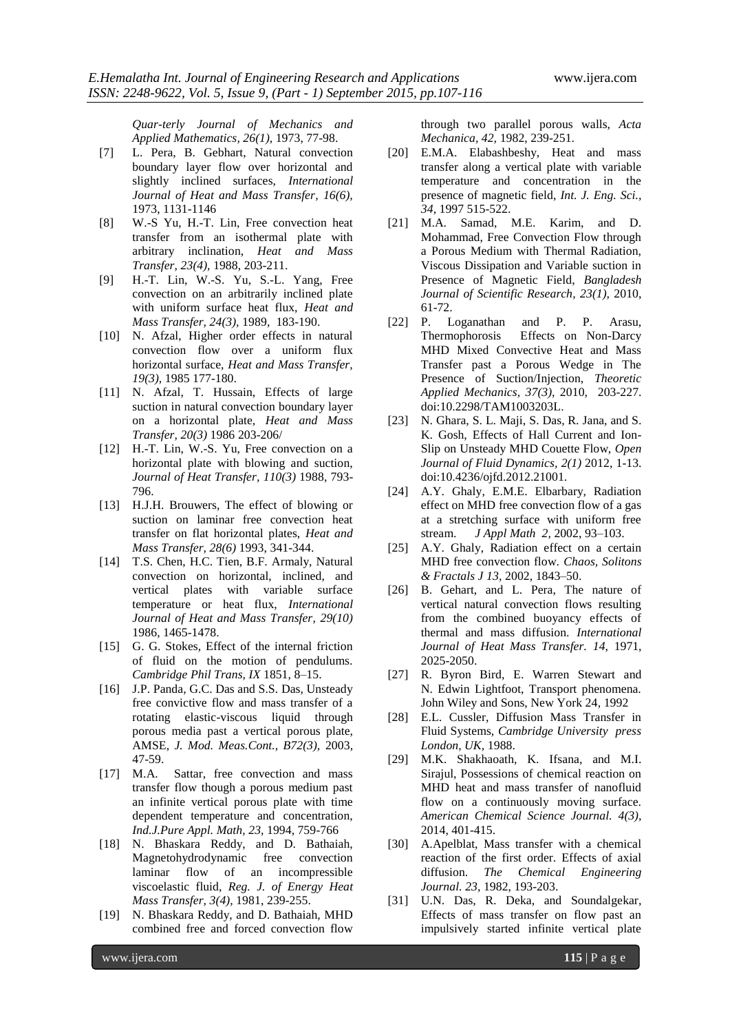*Quar-terly Journal of Mechanics and Applied Mathematics, 26(1),* 1973, 77-98.

- [7] L. Pera, B. Gebhart, Natural convection boundary layer flow over horizontal and slightly inclined surfaces, *International Journal of Heat and Mass Transfer, 16(6),* 1973, 1131-1146
- [8] W.-S Yu, H.-T. Lin, Free convection heat transfer from an isothermal plate with arbitrary inclination, *Heat and Mass Transfer, 23(4),* 1988, 203-211.
- [9] H.-T. Lin, W.-S. Yu, S.-L. Yang, Free convection on an arbitrarily inclined plate with uniform surface heat flux, *Heat and Mass Transfer, 24(3),* 1989, 183-190.
- [10] N. Afzal, Higher order effects in natural convection flow over a uniform flux horizontal surface, *Heat and Mass Transfer, 19(3),* 1985 177-180.
- [11] N. Afzal, T. Hussain, Effects of large suction in natural convection boundary layer on a horizontal plate, *Heat and Mass Transfer, 20(3)* 1986 203-206/
- [12] H.-T. Lin, W.-S. Yu, Free convection on a horizontal plate with blowing and suction, *Journal of Heat Transfer, 110(3)* 1988, 793- 796.
- [13] H.J.H. Brouwers, The effect of blowing or suction on laminar free convection heat transfer on flat horizontal plates, *Heat and Mass Transfer, 28(6)* 1993, 341-344.
- [14] T.S. Chen, H.C. Tien, B.F. Armaly, Natural convection on horizontal, inclined, and vertical plates with variable surface temperature or heat flux, *International Journal of Heat and Mass Transfer, 29(10)* 1986, 1465-1478.
- [15] G. G. Stokes, Effect of the internal friction of fluid on the motion of pendulums. *Cambridge Phil Trans, IX* 1851, 8–15.
- [16] J.P. Panda, G.C. Das and S.S. Das, Unsteady free convictive flow and mass transfer of a rotating elastic-viscous liquid through porous media past a vertical porous plate, AMSE, *J. Mod. Meas.Cont., B72(3),* 2003, 47-59.
- [17] M.A. Sattar, free convection and mass transfer flow though a porous medium past an infinite vertical porous plate with time dependent temperature and concentration, *Ind.J.Pure Appl. Math, 23,* 1994, 759-766
- [18] N. Bhaskara Reddy, and D. Bathaiah, Magnetohydrodynamic free convection laminar flow of an incompressible viscoelastic fluid, *Reg. J. of Energy Heat Mass Transfer, 3(4),* 1981, 239-255.
- [19] N. Bhaskara Reddy, and D. Bathaiah, MHD combined free and forced convection flow

through two parallel porous walls, *Acta Mechanica, 42,* 1982, 239-251.

- [20] E.M.A. Elabashbeshy, Heat and mass transfer along a vertical plate with variable temperature and concentration in the presence of magnetic field, *Int. J. Eng. Sci., 34,* 1997 515-522.
- [21] M.A. Samad, M.E. Karim, and D. Mohammad, Free Convection Flow through a Porous Medium with Thermal Radiation, Viscous Dissipation and Variable suction in Presence of Magnetic Field, *Bangladesh Journal of Scientific Research, 23(1),* 2010, 61-72.
- [22] P. Loganathan and P. P. Arasu, Thermophorosis Effects on Non-Darcy MHD Mixed Convective Heat and Mass Transfer past a Porous Wedge in The Presence of Suction/Injection, *Theoretic Applied Mechanics, 37(3),* 2010, 203-227. doi:10.2298/TAM1003203L.
- [23] N. Ghara, S. L. Maji, S. Das, R. Jana, and S. K. Gosh, Effects of Hall Current and Ion-Slip on Unsteady MHD Couette Flow, *Open Journal of Fluid Dynamics, 2(1)* 2012, 1-13. doi:10.4236/ojfd.2012.21001.
- [24] A.Y. Ghaly, E.M.E. Elbarbary, Radiation effect on MHD free convection flow of a gas at a stretching surface with uniform free stream. *J Appl Math 2,* 2002, 93–103.
- [25] A.Y. Ghaly, Radiation effect on a certain MHD free convection flow. *Chaos, Solitons & Fractals J 13,* 2002, 1843–50.
- [26] B. Gehart, and L. Pera, The nature of vertical natural convection flows resulting from the combined buoyancy effects of thermal and mass diffusion. *International Journal of Heat Mass Transfer. 14,* 1971, 2025-2050.
- [27] R. Byron Bird, E. Warren Stewart and N. Edwin Lightfoot, Transport phenomena. John Wiley and Sons, New York 24*,* 1992
- [28] E.L. Cussler, Diffusion Mass Transfer in Fluid Systems, *Cambridge University press London, UK,* 1988.
- [29] M.K. Shakhaoath, K. Ifsana, and M.I. Sirajul, Possessions of chemical reaction on MHD heat and mass transfer of nanofluid flow on a continuously moving surface. *American Chemical Science Journal. 4(3),* 2014, 401-415.
- [30] A.Apelblat, Mass transfer with a chemical reaction of the first order. Effects of axial diffusion. *The Chemical Engineering Journal. 23,* 1982, 193-203.
- [31] U.N. Das, R. Deka, and Soundalgekar, Effects of mass transfer on flow past an impulsively started infinite vertical plate